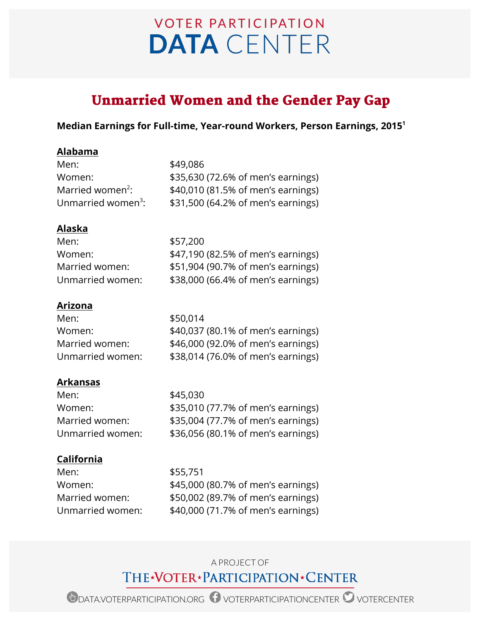# **VOTER PARTICIPATION DATA** CENTER

# Unmarried Women and the Gender Pay Gap

#### **Median Earnings for Full-time, Year-round Workers, Person Earnings, 20151**

#### **Alabama**

| Men:                           | \$49,086                           |
|--------------------------------|------------------------------------|
| Women:                         | \$35,630 (72.6% of men's earnings) |
| Married women <sup>2</sup> :   | \$40,010 (81.5% of men's earnings) |
| Unmarried women <sup>3</sup> : | \$31,500 (64.2% of men's earnings) |

#### **Alaska**

| \$57,200                           |
|------------------------------------|
| \$47,190 (82.5% of men's earnings) |
| \$51,904 (90.7% of men's earnings) |
| \$38,000 (66.4% of men's earnings) |
|                                    |

# **Arizona**

| \$50,014                           |
|------------------------------------|
| \$40,037 (80.1% of men's earnings) |
| \$46,000 (92.0% of men's earnings) |
| \$38,014 (76.0% of men's earnings) |
|                                    |

# **Arkansas**

| \$45,030                           |
|------------------------------------|
| \$35,010 (77.7% of men's earnings) |
| \$35,004 (77.7% of men's earnings) |
| \$36,056 (80.1% of men's earnings) |
|                                    |

# **California**

Men: \$55,751

Women: \$45,000 (80.7% of men's earnings) Married women: \$50,002 (89.7% of men's earnings) Unmarried women: \$40,000 (71.7% of men's earnings)

# A PROJECT OF THE\*VOTER\*PARTICIPATION\*CENTER

ODATA.VOTERPARTICIPATION.ORG O VOTERPARTICIPATIONCENTER O VOTERCENTER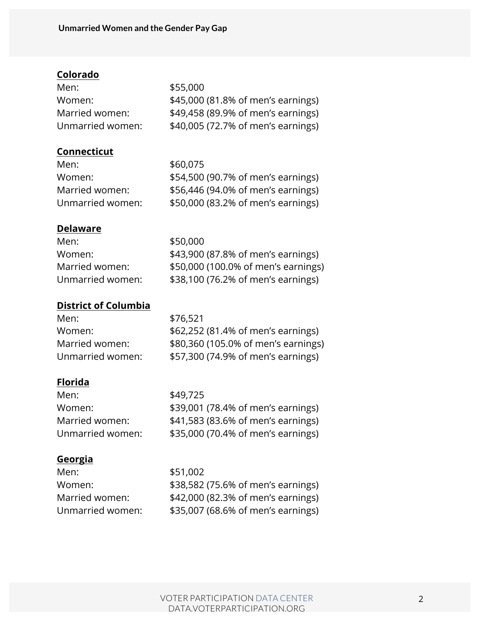# **Colorado**

| Men:             | \$55,000                           |
|------------------|------------------------------------|
| Women:           | \$45,000 (81.8% of men's earnings) |
| Married women:   | \$49,458 (89.9% of men's earnings) |
| Unmarried women: | \$40,005 (72.7% of men's earnings) |

#### **Connecticut**

| Men:             | \$60,075                           |
|------------------|------------------------------------|
| Women:           | \$54,500 (90.7% of men's earnings) |
| Married women:   | \$56,446 (94.0% of men's earnings) |
| Unmarried women: | \$50,000 (83.2% of men's earnings) |

#### **Delaware**

| Men:             | \$50,000                            |
|------------------|-------------------------------------|
| Women:           | \$43,900 (87.8% of men's earnings)  |
| Married women:   | \$50,000 (100.0% of men's earnings) |
| Unmarried women: | \$38,100 (76.2% of men's earnings)  |

#### **District of Columbia**

| Men:             | \$76,521                            |
|------------------|-------------------------------------|
| Women:           | \$62,252 (81.4% of men's earnings)  |
| Married women:   | \$80,360 (105.0% of men's earnings) |
| Unmarried women: | \$57,300 (74.9% of men's earnings)  |

# **Florida**

| Men:             | \$49,725                           |
|------------------|------------------------------------|
| Women:           | \$39,001 (78.4% of men's earnings) |
| Married women:   | \$41,583 (83.6% of men's earnings) |
| Unmarried women: | \$35,000 (70.4% of men's earnings) |
|                  |                                    |

#### **Georgia**

Men: \$51,002

Women: \$38,582 (75.6% of men's earnings) Married women: \$42,000 (82.3% of men's earnings) Unmarried women: \$35,007 (68.6% of men's earnings)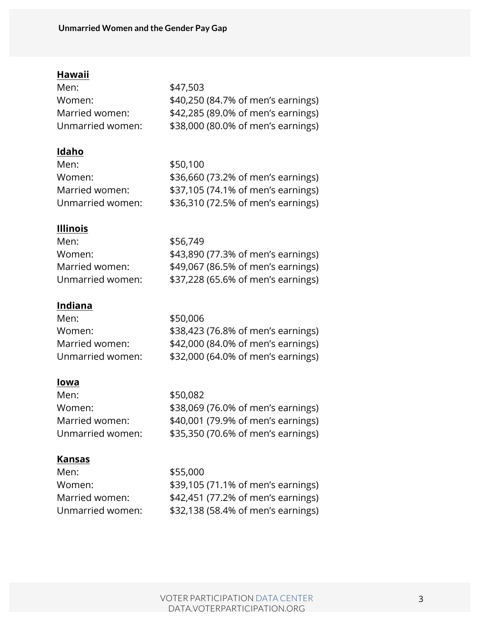# **Hawaii**

| Men:             | \$47,503                           |
|------------------|------------------------------------|
| Women:           | \$40,250 (84.7% of men's earnings) |
| Married women:   | \$42,285 (89.0% of men's earnings) |
| Unmarried women: | \$38,000 (80.0% of men's earnings) |

# **Idaho**

| Men:             | \$50,100                           |
|------------------|------------------------------------|
| Women:           | \$36,660 (73.2% of men's earnings) |
| Married women:   | \$37,105 (74.1% of men's earnings) |
| Unmarried women: | \$36,310 (72.5% of men's earnings) |

#### **Illinois**

| Men:             | \$56,749                           |
|------------------|------------------------------------|
| Women:           | \$43,890 (77.3% of men's earnings) |
| Married women:   | \$49,067 (86.5% of men's earnings) |
| Unmarried women: | \$37,228 (65.6% of men's earnings) |

# **Indiana**

| Men:             | \$50,006                           |
|------------------|------------------------------------|
| Women:           | \$38,423 (76.8% of men's earnings) |
| Married women:   | \$42,000 (84.0% of men's earnings) |
| Unmarried women: | \$32,000 (64.0% of men's earnings) |

#### **Iowa**

| Men:             | \$50,082                           |
|------------------|------------------------------------|
| Women:           | \$38,069 (76.0% of men's earnings) |
| Married women:   | \$40,001 (79.9% of men's earnings) |
| Unmarried women: | \$35,350 (70.6% of men's earnings) |
|                  |                                    |

# **Kansas**

| Men:             | \$55,000                           |
|------------------|------------------------------------|
| Women:           | \$39,105 (71.1% of men's earnings) |
| Married women:   | \$42,451 (77.2% of men's earnings) |
| Unmarried women: | \$32,138 (58.4% of men's earnings) |
|                  |                                    |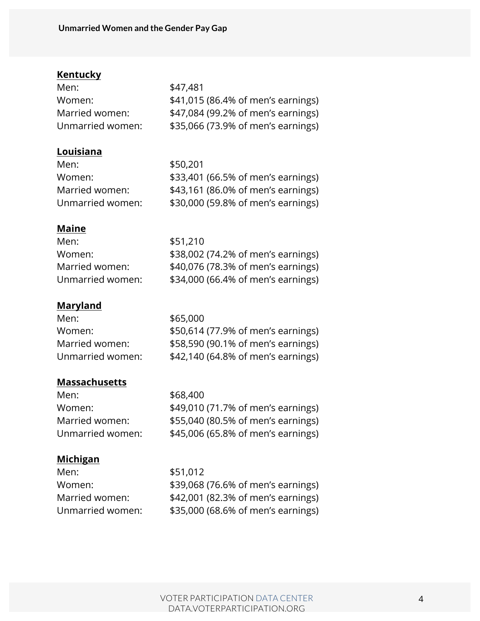#### **Kentucky**

| \$47,481                           |
|------------------------------------|
| \$41,015 (86.4% of men's earnings) |
| \$47,084 (99.2% of men's earnings) |
| \$35,066 (73.9% of men's earnings) |
|                                    |

#### **Louisiana**

| Men:             | \$50,201                           |
|------------------|------------------------------------|
| Women:           | \$33,401 (66.5% of men's earnings) |
| Married women:   | \$43,161 (86.0% of men's earnings) |
| Unmarried women: | \$30,000 (59.8% of men's earnings) |

#### **Maine**

| Men:             | \$51,210                           |
|------------------|------------------------------------|
| Women:           | \$38,002 (74.2% of men's earnings) |
| Married women:   | \$40,076 (78.3% of men's earnings) |
| Unmarried women: | \$34,000 (66.4% of men's earnings) |

# **Maryland**

| \$65,000                           |
|------------------------------------|
| \$50,614 (77.9% of men's earnings) |
| \$58,590 (90.1% of men's earnings) |
| \$42,140 (64.8% of men's earnings) |
|                                    |

# **Massachusetts**

Men: \$68,400 Women: \$49,010 (71.7% of men's earnings) Married women: \$55,040 (80.5% of men's earnings) Unmarried women: \$45,006 (65.8% of men's earnings)

#### **Michigan**

Men: \$51,012

Women: \$39,068 (76.6% of men's earnings) Married women: \$42,001 (82.3% of men's earnings) Unmarried women: \$35,000 (68.6% of men's earnings)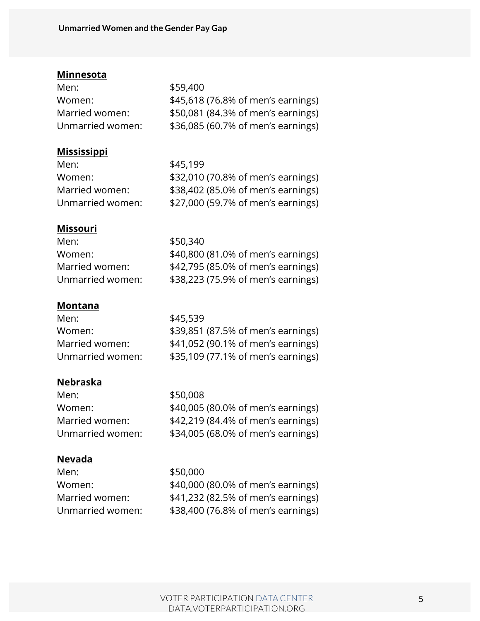#### **Minnesota**

| \$59,400                           |
|------------------------------------|
| \$45,618 (76.8% of men's earnings) |
| \$50,081 (84.3% of men's earnings) |
| \$36,085 (60.7% of men's earnings) |
|                                    |

#### **Mississippi**

| Men:             | \$45,199                           |
|------------------|------------------------------------|
| Women:           | \$32,010 (70.8% of men's earnings) |
| Married women:   | \$38,402 (85.0% of men's earnings) |
| Unmarried women: | \$27,000 (59.7% of men's earnings) |

#### **Missouri**

| Men:             | \$50,340                           |
|------------------|------------------------------------|
| Women:           | \$40,800 (81.0% of men's earnings) |
| Married women:   | \$42,795 (85.0% of men's earnings) |
| Unmarried women: | \$38,223 (75.9% of men's earnings) |

#### **Montana**

| Men:             | \$45,539                           |
|------------------|------------------------------------|
| Women:           | \$39,851 (87.5% of men's earnings) |
| Married women:   | \$41,052 (90.1% of men's earnings) |
| Unmarried women: | \$35,109 (77.1% of men's earnings) |

# **Nebraska**

| Men:             | \$50,008                           |
|------------------|------------------------------------|
| Women:           | \$40,005 (80.0% of men's earnings) |
| Married women:   | \$42,219 (84.4% of men's earnings) |
| Unmarried women: | \$34,005 (68.0% of men's earnings) |
|                  |                                    |

# **Nevada**

Men: \$50,000 Women: \$40,000 (80.0% of men's earnings) Married women: \$41,232 (82.5% of men's earnings) Unmarried women: \$38,400 (76.8% of men's earnings)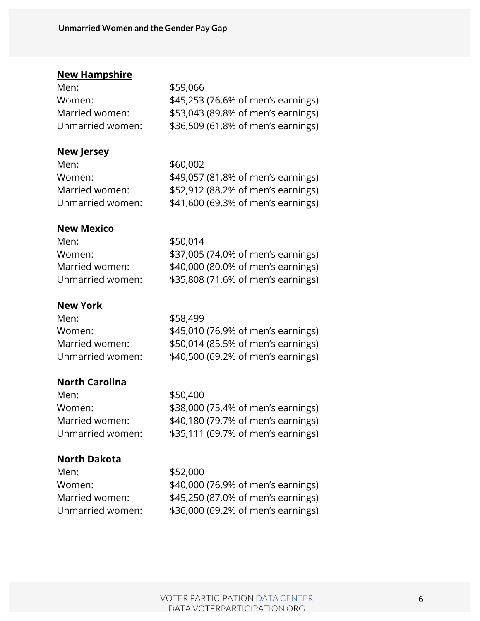#### **New Hampshire**

| \$59,066                           |
|------------------------------------|
| \$45,253 (76.6% of men's earnings) |
| \$53,043 (89.8% of men's earnings) |
| \$36,509 (61.8% of men's earnings) |
|                                    |

#### **New Jersey**

| Men:             | \$60,002                           |
|------------------|------------------------------------|
| Women:           | \$49,057 (81.8% of men's earnings) |
| Married women:   | \$52,912 (88.2% of men's earnings) |
| Unmarried women: | \$41,600 (69.3% of men's earnings) |

#### **New Mexico**

| Men:             | \$50,014                           |
|------------------|------------------------------------|
| Women:           | \$37,005 (74.0% of men's earnings) |
| Married women:   | \$40,000 (80.0% of men's earnings) |
| Unmarried women: | \$35,808 (71.6% of men's earnings) |

#### **New York**

| Men:             | \$58,499                           |
|------------------|------------------------------------|
| Women:           | \$45,010 (76.9% of men's earnings) |
| Married women:   | \$50,014 (85.5% of men's earnings) |
| Unmarried women: | \$40,500 (69.2% of men's earnings) |
|                  |                                    |

#### **North Carolina**

Men: \$50,400

Women: \$38,000 (75.4% of men's earnings) Married women: \$40,180 (79.7% of men's earnings) Unmarried women: \$35,111 (69.7% of men's earnings)

#### **North Dakota**

Men: \$52,000

Women: \$40,000 (76.9% of men's earnings) Married women: \$45,250 (87.0% of men's earnings) Unmarried women: \$36,000 (69.2% of men's earnings)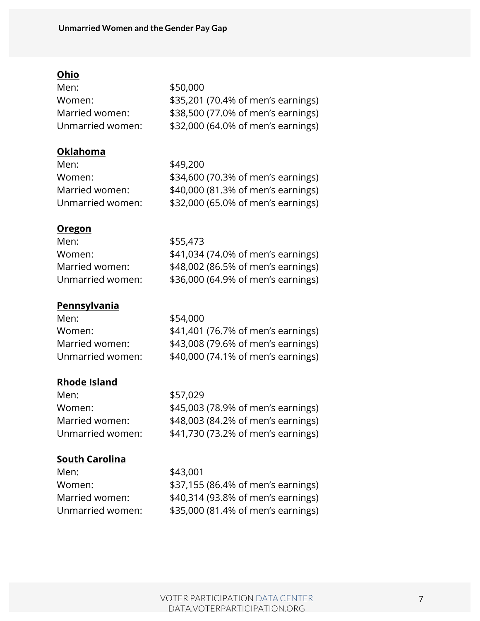# **Ohio**

| \$50,000                           |
|------------------------------------|
| \$35,201 (70.4% of men's earnings) |
| \$38,500 (77.0% of men's earnings) |
| \$32,000 (64.0% of men's earnings) |
|                                    |

#### **Oklahoma**

| Men:             | \$49,200                           |
|------------------|------------------------------------|
| Women:           | \$34,600 (70.3% of men's earnings) |
| Married women:   | \$40,000 (81.3% of men's earnings) |
| Unmarried women: | \$32,000 (65.0% of men's earnings) |

# **Oregon**

| \$41,034 (74.0% of men's earnings) |
|------------------------------------|
| \$48,002 (86.5% of men's earnings) |
| \$36,000 (64.9% of men's earnings) |
|                                    |

# **Pennsylvania**

| Men:             | \$54,000                           |
|------------------|------------------------------------|
|                  |                                    |
| Women:           | \$41,401 (76.7% of men's earnings) |
| Married women:   | \$43,008 (79.6% of men's earnings) |
| Unmarried women: | \$40,000 (74.1% of men's earnings) |

#### **Rhode Island**

Men: \$57,029

Women: \$45,003 (78.9% of men's earnings) Married women: \$48,003 (84.2% of men's earnings) Unmarried women: \$41,730 (73.2% of men's earnings)

# **South Carolina**

Men: \$43,001

Women: \$37,155 (86.4% of men's earnings) Married women: \$40,314 (93.8% of men's earnings) Unmarried women: \$35,000 (81.4% of men's earnings)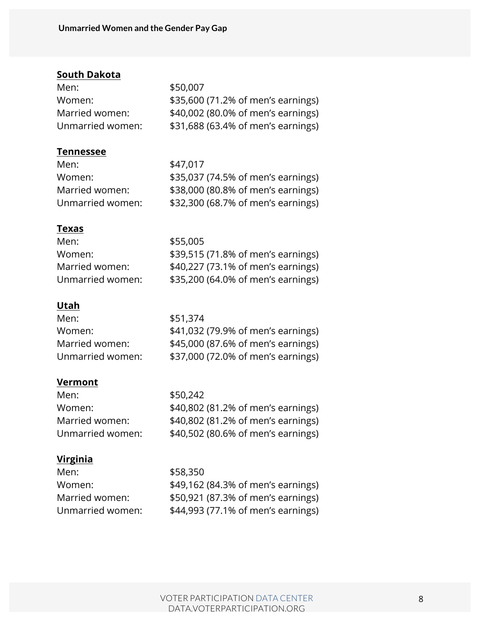# **South Dakota**

| \$50,007                           |
|------------------------------------|
| \$35,600 (71.2% of men's earnings) |
| \$40,002 (80.0% of men's earnings) |
| \$31,688 (63.4% of men's earnings) |
|                                    |

#### **Tennessee**

| \$47,017                           |
|------------------------------------|
| \$35,037 (74.5% of men's earnings) |
| \$38,000 (80.8% of men's earnings) |
| \$32,300 (68.7% of men's earnings) |
|                                    |

#### **Texas**

| Men:             | \$55,005                           |
|------------------|------------------------------------|
| Women:           | \$39,515 (71.8% of men's earnings) |
| Married women:   | \$40,227 (73.1% of men's earnings) |
| Unmarried women: | \$35,200 (64.0% of men's earnings) |

#### **Utah**

| Men:             | \$51,374                           |
|------------------|------------------------------------|
| Women:           | \$41,032 (79.9% of men's earnings) |
| Married women:   | \$45,000 (87.6% of men's earnings) |
| Unmarried women: | \$37,000 (72.0% of men's earnings) |

# **Vermont**

| Men:             | \$50,242                           |
|------------------|------------------------------------|
| Women:           | \$40,802 (81.2% of men's earnings) |
| Married women:   | \$40,802 (81.2% of men's earnings) |
| Unmarried women: | \$40,502 (80.6% of men's earnings) |
|                  |                                    |

# **Virginia**

| \$58,350                           |
|------------------------------------|
| \$49,162 (84.3% of men's earnings) |
| \$50,921 (87.3% of men's earnings) |
| \$44,993 (77.1% of men's earnings) |
|                                    |